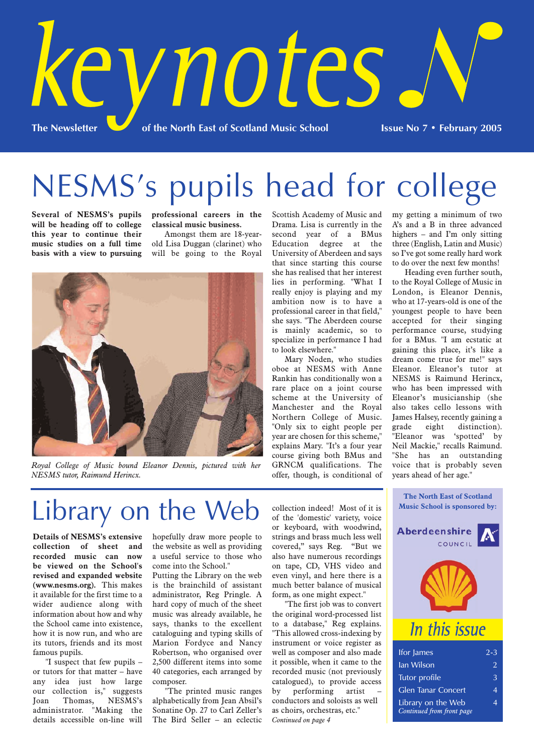

NESMS's pupils head for college

**Several of NESMS's pupils will be heading off to college this year to continue their music studies on a full time basis with a view to pursuing** **professional careers in the classical music business.**

Amongst them are 18-yearold Lisa Duggan (clarinet) who will be going to the Royal



*Royal College of Music bound Eleanor Dennis, pictured with her NESMS tutor, Raimund Herincx.*

Scottish Academy of Music and Drama. Lisa is currently in the second year of a BMus Education degree at the University of Aberdeen and says that since starting this course she has realised that her interest lies in performing. "What I really enjoy is playing and my ambition now is to have a professional career in that field," she says. "The Aberdeen course is mainly academic, so to specialize in performance I had to look elsewhere."

Mary Noden, who studies oboe at NESMS with Anne Rankin has conditionally won a rare place on a joint course scheme at the University of Manchester and the Royal Northern College of Music. "Only six to eight people per year are chosen for this scheme," explains Mary. "It's a four year course giving both BMus and GRNCM qualifications. The offer, though, is conditional of my getting a minimum of two A's and a B in three advanced highers – and I'm only sitting three (English, Latin and Music) so I've got some really hard work to do over the next few months!

Heading even further south, to the Royal College of Music in London, is Eleanor Dennis, who at 17-years-old is one of the youngest people to have been accepted for their singing performance course, studying for a BMus. "I am ecstatic at gaining this place, it's like a dream come true for me!" says Eleanor. Eleanor's tutor at NESMS is Raimund Herincx, who has been impressed with Eleanor's musicianship (she also takes cello lessons with James Halsey, recently gaining a grade eight distinction). "Eleanor was 'spotted' by Neil Mackie," recalls Raimund. "She has an outstanding voice that is probably seven years ahead of her age."

# Library on the Web

**Details of NESMS's extensive collection of sheet and recorded music can now be viewed on the School's revised and expanded website (www.nesms.org).** This makes it available for the first time to a wider audience along with information about how and why the School came into existence, how it is now run, and who are its tutors, friends and its most famous pupils.

"I suspect that few pupils – or tutors for that matter – have any idea just how large our collection is," suggests Joan Thomas, NESMS's administrator. "Making the details accessible on-line will

hopefully draw more people to the website as well as providing a useful service to those who come into the School."

Putting the Library on the web is the brainchild of assistant administrator, Reg Pringle. A hard copy of much of the sheet music was already available, he says, thanks to the excellent cataloguing and typing skills of Marion Fordyce and Nancy Robertson, who organised over 2,500 different items into some 40 categories, each arranged by composer.

"The printed music ranges alphabetically from Jean Absil's Sonatine Op. 27 to Carl Zeller's The Bird Seller – an eclectic collection indeed! Most of it is of the 'domestic' variety, voice or keyboard, with woodwind, strings and brass much less well covered," says Reg. "But we also have numerous recordings on tape, CD, VHS video and even vinyl, and here there is a much better balance of musical form, as one might expect."

"The first job was to convert the original word-processed list to a database," Reg explains. "This allowed cross-indexing by instrument or voice register as well as composer and also made it possible, when it came to the recorded music (not previously catalogued), to provide access by performing artist conductors and soloists as well as choirs, orchestras, etc." *Continued on page 4*



Glen Tanar Concert 4 Library on the Web 4 *Continued from front page*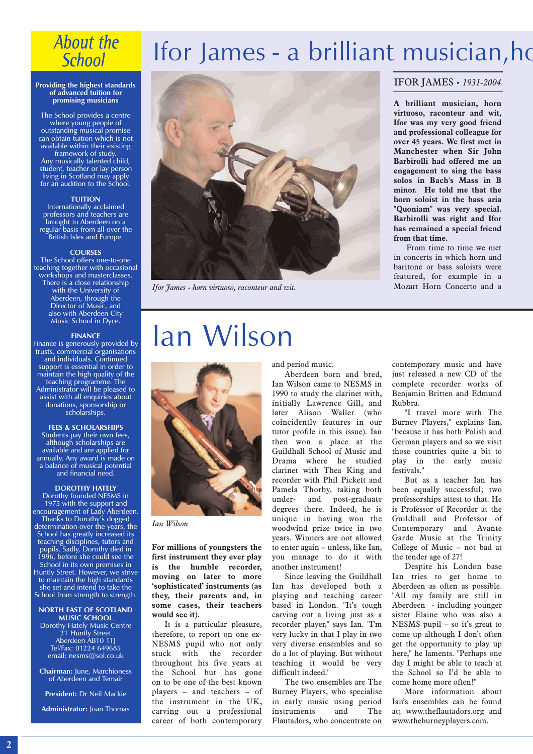### **About the School**

#### **Providing the highest standards of advanced tuition for promising musicians**

The School provides a centre where young people of outstanding musical promise can obtain tuition which is not available within their existing framework of study. Any musically talented child, student, teacher or lay person living in Scotland may apply for an audition to the School.

#### **TUITION**

Internationally acclaimed professors and teachers are brought to Aberdeen on a regular basis from all over the British Isles and Europe.

#### **COURSES**

The School offers one-to-one teaching together with occasional workshops and masterclasses. There is a close relationship with the University of Aberdeen, through the Director of Music, and also with Aberdeen City Music School in Dyce.

#### **FINANCE**

Finance is generously provided by trusts, commercial organisations and individuals. Continued support is essential in order to maintain the high quality of the teaching programme. The Administrator will be pleased to assist with all enquiries about donations, sponsorship or scholarships.

#### **FEES & SCHOLARSHIPS**

Students pay their own fees, although scholarships are available and are applied for annually. Any award is made on a balance of musical potential and financial need.

#### **DOROTHY HATELY**

Dorothy founded NESMS in 1975 with the support and encouragement of Lady Aberdeen. Thanks to Dorothy's dogged determination over the years, the School has greatly increased its teaching disciplines, tutors and pupils. Sadly, Dorothy died in 1996, before she could see the School in its own premises in Huntly Street. However, we strive to maintain the high standards she set and intend to take the School from strength to strength.

#### **NORTH EAST OF SCOTLAND MUSIC SCHOOL**

Dorothy Hately Music Centre 21 Huntly Street Aberdeen AB10 1TJ Tel/Fax: 01224 649685 email: nesms@sol.co.uk

**Chairman:** June, Marchioness of Aberdeen and Temair

**President:** Dr Neil Mackie

**Administrator:** Joan Thomas

## Ifor James - a brilliant musician, ho



*Ifor James - horn virtuoso, raconteur and wit.*

# Ian Wilson



*Ian Wilson* 

**For millions of youngsters the first instrument they ever play is the humble recorder, moving on later to more 'sophisticated' instruments (as they, their parents and, in some cases, their teachers would see it).**

It is a particular pleasure, therefore, to report on one ex-NESMS pupil who not only stuck with the recorder throughout his five years at the School but has gone on to be one of the best known players – and teachers – of the instrument in the UK, carving out a professional career of both contemporary

and period music.

Aberdeen born and bred, Ian Wilson came to NESMS in 1990 to study the clarinet with, initially Lawrence Gill, and later Alison Waller (who coincidently features in our tutor profile in this issue). Ian then won a place at the Guildhall School of Music and Drama where he studied clarinet with Thea King and recorder with Phil Pickett and Pamela Thorby, taking both under- and post-graduate degrees there. Indeed, he is unique in having won the woodwind prize twice in two years. Winners are not allowed to enter again – unless, like Ian, you manage to do it with another instrument!

Since leaving the Guildhall Ian has developed both a playing and teaching career based in London. "It's tough carving out a living just as a recorder player," says Ian. "I'm very lucky in that I play in two very diverse ensembles and so do a lot of playing. But without teaching it would be very difficult indeed."

The two ensembles are The Burney Players, who specialise in early music using period instruments and The Flautadors, who concentrate on

#### IFOR JAMES • *1931-2004*

**A brilliant musician, horn virtuoso, raconteur and wit, Ifor was my very good friend and professional colleague for over 45 years. We first met in Manchester when Sir John Barbirolli had offered me an engagement to sing the bass solos in Bach's Mass in B minor. He told me that the horn soloist in the bass aria "Quoniam" was very special. Barbirolli was right and Ifor has remained a special friend from that time.**

From time to time we met in concerts in which horn and baritone or bass soloists were featured, for example in a Mozart Horn Concerto and a

contemporary music and have just released a new CD of the complete recorder works of Benjamin Britten and Edmund Rubbra.

"I travel more with The Burney Players," explains Ian, "because it has both Polish and German players and so we visit those countries quite a bit to play in the early music festivals."

But as a teacher Ian has been equally successful; two professorships attest to that. He is Professor of Recorder at the Guildhall and Professor of Contemporary and Avante Garde Music at the Trinity College of Music – not bad at the tender age of 27!

Despite his London base Ian tries to get home to Aberdeen as often as possible. "All my family are still in Aberdeen - including younger sister Elaine who was also a NESMS pupil – so it's great to come up although I don't often get the opportunity to play up here," he laments. "Perhaps one day I might be able to teach at the School so I'd be able to come home more often!"

More information about Ian's ensembles can be found at; www.theflautadors.org and www.theburneyplayers.com.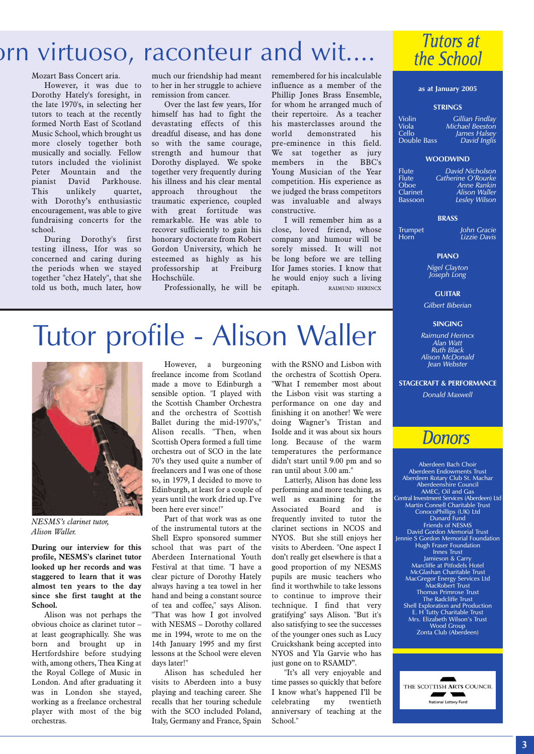## orn virtuoso, raconteur and wit.

#### Mozart Bass Concert aria.

However, it was due to Dorothy Hately's foresight, in the late 1970's, in selecting her tutors to teach at the recently formed North East of Scotland Music School, which brought us more closely together both musically and socially. Fellow tutors included the violinist<br>Peter Mountain and the Mountain and the pianist David Parkhouse. This unlikely quartet, with Dorothy's enthusiastic encouragement, was able to give fundraising concerts for the school.

During Dorothy's first testing illness, Ifor was so concerned and caring during the periods when we stayed together "chez Hately", that she told us both, much later, how

much our friendship had meant to her in her struggle to achieve remission from cancer.

Over the last few years, Ifor himself has had to fight the devastating effects of this dreadful disease, and has done so with the same courage, strength and humour that Dorothy displayed. We spoke together very frequently during his illness and his clear mental approach throughout the traumatic experience, coupled with great fortitude was remarkable. He was able to recover sufficiently to gain his honorary doctorate from Robert Gordon University, which he esteemed as highly as his professorship at Freiburg professorsm<br>Hochschüle.

Professionally, he will be

remembered for his incalculable influence as a member of the Phillip Jones Brass Ensemble, for whom he arranged much of their repertoire. As a teacher his masterclasses around the world demonstrated his pre-eminence in this field. We sat together as jury members in the BBC's Young Musician of the Year competition. His experience as we judged the brass competitors was invaluable and always constructive.

I will remember him as a close, loved friend, whose company and humour will be sorely missed. It will not be long before we are telling Ifor James stories. I know that he would enjoy such a living epitaph. RAIMUND HERINCX

#### Violin *Gillian Findlay* Viola *Michael Beeston* Cello *James Halsey* Double Bass *David Inglis*

**as at January 2005 STRINGS**

**Tutors at** the School

#### **WOODWIND**

Flute *David Nicholson* Flute *Catherine O'Rourke* Oboe Clarinet *Alison Waller* Bassoon *Lesley Wilson*

|    | David Nicholson    |
|----|--------------------|
|    | Catherine O'Rourke |
|    | Anne Rankin        |
| ۵t | Alison Waller      |
| οñ | Lesley Wilson      |

**BRASS**

Trumpet *John Gracie* **Lizzie Davis** 

#### **PIANO**

*Nigel Clayton Joseph Long*

**GUITAR**

*Gilbert Biberian*

#### **SINGING**

*Raimund Herincx Alan Watt Ruth Black Alison McDonald Jean Webster*

**STAGECRAFT & PERFORMANCE**

*Donald Maxwell*

### **Donors**

Aberdeen Bach Choir Aberdeen Endowments Trust Aberdeen Rotary Club St. Machar Aberdeenshire Council AMEC, Oil and Gas Central Investment Services (Aberdeen) Ltd Martin Connell Charitable Trust ConocoPhillips (UK) Ltd Dunard Fund Friends of NESMS David Gordon Memorial Trust Jennie S Gordon Memorial Foundation Hugh Fraser Foundation Innes Trust Jamieson & Carry Marcliffe at Pitfodels Hotel McGlashan Charitable Trust MacGregor Energy Services Ltd MacRobert Trust Thomas Primrose Trust The Radcliffe Trust Shell Exploration and Production E. H Tutty Charitable Trust Mrs. Elizabeth Wilson's Trust Wood Group Zonta Club (Aberdeen)

THE SCOTTISH ARTS COUNCIL  $\overline{\phantom{a}}$ National Lottery Fund

# Tutor profile - Alison Waller



*NESMS's clarinet tutor, Alison Waller.* 

**During our interview for this profile, NESMS's clarinet tutor looked up her records and was staggered to learn that it was almost ten years to the day since she first taught at the School.** 

Alison was not perhaps the obvious choice as clarinet tutor – at least geographically. She was born and brought up in Hertfordshire before studying with, among others, Thea King at the Royal College of Music in London. And after graduating it was in London she stayed, working as a freelance orchestral player with most of the big orchestras.

However, a burgeoning freelance income from Scotland made a move to Edinburgh a sensible option. "I played with the Scottish Chamber Orchestra and the orchestra of Scottish Ballet during the mid-1970's," Alison recalls. "Then, when Scottish Opera formed a full time orchestra out of SCO in the late 70's they used quite a number of freelancers and I was one of those so, in 1979, I decided to move to Edinburgh, at least for a couple of years until the work dried up. I've been here ever since!"

Part of that work was as one of the instrumental tutors at the Shell Expro sponsored summer school that was part of the Aberdeen International Youth Festival at that time. "I have a clear picture of Dorothy Hately always having a tea towel in her hand and being a constant source of tea and coffee," says Alison. "That was how I got involved with NESMS – Dorothy collared me in 1994, wrote to me on the 14th January 1995 and my first lessons at the School were eleven days later!"

Alison has scheduled her visits to Aberdeen into a busy playing and teaching career. She recalls that her touring schedule with the SCO included Poland, Italy, Germany and France, Spain

with the RSNO and Lisbon with the orchestra of Scottish Opera. "What I remember most about the Lisbon visit was starting a performance on one day and finishing it on another! We were doing Wagner's Tristan and Isolde and it was about six hours long. Because of the warm temperatures the performance didn't start until 9.00 pm and so ran until about 3.00 am."

Latterly, Alison has done less performing and more teaching, as well as examining for the Associated Board and is frequently invited to tutor the clarinet sections in NCOS and NYOS. But she still enjoys her visits to Aberdeen. "One aspect I don't really get elsewhere is that a good proportion of my NESMS pupils are music teachers who find it worthwhile to take lessons to continue to improve their technique. I find that very gratifying" says Alison. "But it's also satisfying to see the successes of the younger ones such as Lucy Cruickshank being accepted into NYOS and Yla Garvie who has just gone on to RSAMD".

"It's all very enjoyable and time passes so quickly that before I know what's happened I'll be celebrating my twentieth anniversary of teaching at the School."